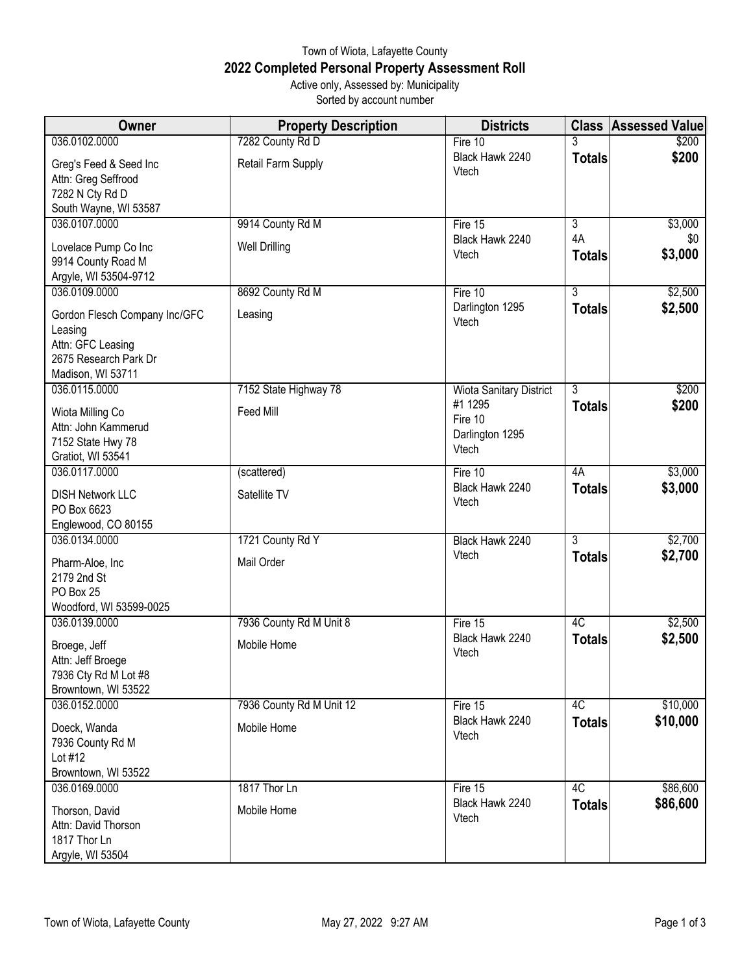## Town of Wiota, Lafayette County **2022 Completed Personal Property Assessment Roll** Active only, Assessed by: Municipality

Sorted by account number

| Owner                                                                             | <b>Property Description</b> | <b>Districts</b>                               | <b>Class</b>        | <b>Assessed Value</b> |
|-----------------------------------------------------------------------------------|-----------------------------|------------------------------------------------|---------------------|-----------------------|
| 036.0102.0000                                                                     | 7282 County Rd D            | Fire 10                                        |                     | \$200                 |
| Greg's Feed & Seed Inc<br>Attn: Greg Seffrood<br>7282 N Cty Rd D                  | Retail Farm Supply          | Black Hawk 2240<br>Vtech                       | <b>Totals</b>       | \$200                 |
| South Wayne, WI 53587                                                             |                             |                                                |                     |                       |
| 036.0107.0000                                                                     | 9914 County Rd M            | Fire 15                                        | $\overline{3}$      | \$3,000               |
| Lovelace Pump Co Inc<br>9914 County Road M<br>Argyle, WI 53504-9712               | <b>Well Drilling</b>        | Black Hawk 2240<br>Vtech                       | 4A<br><b>Totals</b> | \$0<br>\$3,000        |
| 036.0109.0000                                                                     | 8692 County Rd M            | Fire 10                                        | $\overline{3}$      | \$2,500               |
| Gordon Flesch Company Inc/GFC<br>Leasing                                          | Leasing                     | Darlington 1295<br>Vtech                       | <b>Totals</b>       | \$2,500               |
| Attn: GFC Leasing<br>2675 Research Park Dr<br>Madison, WI 53711                   |                             |                                                |                     |                       |
| 036.0115.0000                                                                     | 7152 State Highway 78       | Wiota Sanitary District                        | $\overline{3}$      | \$200                 |
| Wiota Milling Co<br>Attn: John Kammerud<br>7152 State Hwy 78<br>Gratiot, WI 53541 | Feed Mill                   | #1 1295<br>Fire 10<br>Darlington 1295<br>Vtech | <b>Totals</b>       | \$200                 |
| 036.0117.0000                                                                     | (scattered)                 | Fire 10                                        | 4A                  | \$3,000               |
| <b>DISH Network LLC</b><br>PO Box 6623<br>Englewood, CO 80155                     | Satellite TV                | Black Hawk 2240<br>Vtech                       | <b>Totals</b>       | \$3,000               |
| 036.0134.0000                                                                     | 1721 County Rd Y            | Black Hawk 2240                                | $\overline{3}$      | \$2,700               |
| Pharm-Aloe, Inc<br>2179 2nd St<br>PO Box 25<br>Woodford, WI 53599-0025            | Mail Order                  | Vtech                                          | <b>Totals</b>       | \$2,700               |
| 036.0139.0000                                                                     | 7936 County Rd M Unit 8     | Fire $15$                                      | $\overline{4C}$     | \$2,500               |
| Broege, Jeff<br>Attn: Jeff Broege<br>7936 Cty Rd M Lot #8                         | Mobile Home                 | Black Hawk 2240<br>Vtech                       | <b>Totals</b>       | \$2,500               |
| Browntown, WI 53522                                                               |                             |                                                |                     |                       |
| 036.0152.0000                                                                     | 7936 County Rd M Unit 12    | Fire 15                                        | 4C                  | \$10,000              |
| Doeck, Wanda<br>7936 County Rd M<br>Lot #12<br>Browntown, WI 53522                | Mobile Home                 | Black Hawk 2240<br>Vtech                       | <b>Totals</b>       | \$10,000              |
| 036.0169.0000                                                                     | 1817 Thor Ln                | Fire 15                                        | 4C                  | \$86,600              |
| Thorson, David<br>Attn: David Thorson<br>1817 Thor Ln<br>Argyle, WI 53504         | Mobile Home                 | Black Hawk 2240<br>Vtech                       | <b>Totals</b>       | \$86,600              |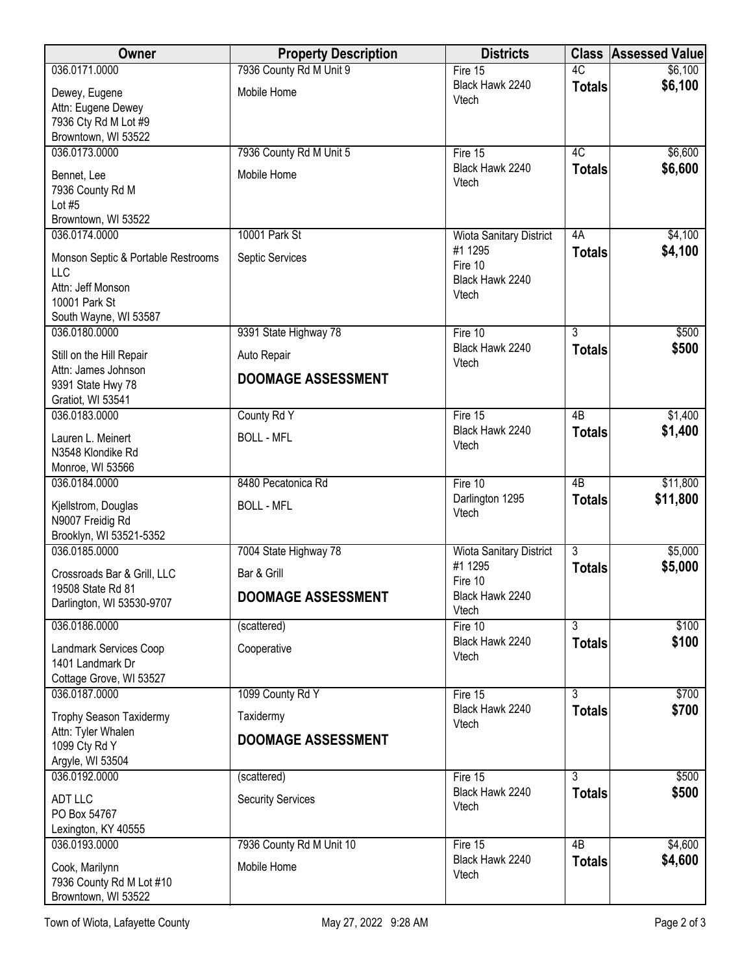| Owner                                           | <b>Property Description</b> | <b>Districts</b>                          |                                 | <b>Class Assessed Value</b> |
|-------------------------------------------------|-----------------------------|-------------------------------------------|---------------------------------|-----------------------------|
| 036.0171.0000                                   | 7936 County Rd M Unit 9     | Fire $15$                                 | 4C                              | \$6,100                     |
| Dewey, Eugene                                   | Mobile Home                 | Black Hawk 2240<br>Vtech                  | <b>Totals</b>                   | \$6,100                     |
| Attn: Eugene Dewey                              |                             |                                           |                                 |                             |
| 7936 Cty Rd M Lot #9<br>Browntown, WI 53522     |                             |                                           |                                 |                             |
| 036.0173.0000                                   | 7936 County Rd M Unit 5     | Fire 15                                   | $\overline{4C}$                 | \$6,600                     |
| Bennet, Lee                                     | Mobile Home                 | Black Hawk 2240                           | <b>Totals</b>                   | \$6,600                     |
| 7936 County Rd M                                |                             | Vtech                                     |                                 |                             |
| Lot $#5$                                        |                             |                                           |                                 |                             |
| Browntown, WI 53522<br>036.0174.0000            | 10001 Park St               | <b>Wiota Sanitary District</b>            | 4A                              | \$4,100                     |
|                                                 |                             | #1 1295                                   | <b>Totals</b>                   | \$4,100                     |
| Monson Septic & Portable Restrooms<br>LLC       | Septic Services             | Fire 10                                   |                                 |                             |
| Attn: Jeff Monson                               |                             | Black Hawk 2240<br>Vtech                  |                                 |                             |
| 10001 Park St                                   |                             |                                           |                                 |                             |
| South Wayne, WI 53587<br>036.0180.0000          | 9391 State Highway 78       | Fire 10                                   | $\overline{3}$                  | \$500                       |
|                                                 |                             | Black Hawk 2240                           | <b>Totals</b>                   | \$500                       |
| Still on the Hill Repair<br>Attn: James Johnson | Auto Repair                 | Vtech                                     |                                 |                             |
| 9391 State Hwy 78                               | <b>DOOMAGE ASSESSMENT</b>   |                                           |                                 |                             |
| Gratiot, WI 53541                               |                             |                                           |                                 |                             |
| 036.0183.0000                                   | County Rd Y                 | Fire $15$<br>Black Hawk 2240              | 4B                              | \$1,400                     |
| Lauren L. Meinert                               | <b>BOLL - MFL</b>           | Vtech                                     | <b>Totals</b>                   | \$1,400                     |
| N3548 Klondike Rd<br>Monroe, WI 53566           |                             |                                           |                                 |                             |
| 036.0184.0000                                   | 8480 Pecatonica Rd          | Fire 10                                   | $\overline{AB}$                 | \$11,800                    |
| Kjellstrom, Douglas                             | <b>BOLL - MFL</b>           | Darlington 1295                           | <b>Totals</b>                   | \$11,800                    |
| N9007 Freidig Rd                                |                             | Vtech                                     |                                 |                             |
| Brooklyn, WI 53521-5352                         |                             |                                           |                                 |                             |
| 036.0185.0000                                   | 7004 State Highway 78       | <b>Wiota Sanitary District</b><br>#1 1295 | $\overline{3}$<br><b>Totals</b> | \$5,000<br>\$5,000          |
| Crossroads Bar & Grill, LLC                     | Bar & Grill                 | Fire 10                                   |                                 |                             |
| 19508 State Rd 81<br>Darlington, WI 53530-9707  | <b>DOOMAGE ASSESSMENT</b>   | Black Hawk 2240                           |                                 |                             |
| 036.0186.0000                                   | (scattered)                 | Vtech<br>Fire 10                          | $\overline{3}$                  | \$100                       |
|                                                 |                             | Black Hawk 2240                           | <b>Totals</b>                   | \$100                       |
| Landmark Services Coop<br>1401 Landmark Dr      | Cooperative                 | Vtech                                     |                                 |                             |
| Cottage Grove, WI 53527                         |                             |                                           |                                 |                             |
| 036.0187.0000                                   | 1099 County Rd Y            | Fire 15                                   | $\overline{3}$                  | \$700                       |
| Trophy Season Taxidermy                         | Taxidermy                   | Black Hawk 2240<br>Vtech                  | <b>Totals</b>                   | \$700                       |
| Attn: Tyler Whalen                              | <b>DOOMAGE ASSESSMENT</b>   |                                           |                                 |                             |
| 1099 Cty Rd Y<br>Argyle, WI 53504               |                             |                                           |                                 |                             |
| 036.0192.0000                                   | (scattered)                 | Fire 15                                   | 3                               | \$500                       |
| <b>ADT LLC</b>                                  | <b>Security Services</b>    | Black Hawk 2240                           | <b>Totals</b>                   | \$500                       |
| PO Box 54767                                    |                             | Vtech                                     |                                 |                             |
| Lexington, KY 40555                             |                             |                                           |                                 |                             |
| 036.0193.0000                                   | 7936 County Rd M Unit 10    | Fire 15<br>Black Hawk 2240                | $\overline{AB}$                 | \$4,600<br>\$4,600          |
| Cook, Marilynn                                  | Mobile Home                 | Vtech                                     | <b>Totals</b>                   |                             |
| 7936 County Rd M Lot #10<br>Browntown, WI 53522 |                             |                                           |                                 |                             |